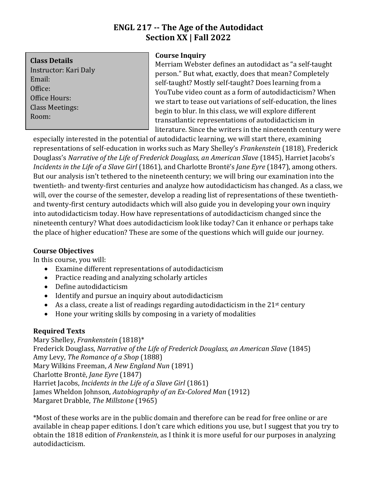# **ENGL 217 -- The Age of the Autodidact Section XX | Fall 2022**

**Class Details**

Instructor: Kari Daly Email: Office: Office Hours: Class Meetings: Room:

## **Course Inquiry**

Merriam Webster defines an autodidact as "a self-taught person." But what, exactly, does that mean? Completely self-taught? Mostly self-taught? Does learning from a YouTube video count as a form of autodidacticism? When we start to tease out variations of self-education, the lines begin to blur. In this class, we will explore different transatlantic representations of autodidacticism in literature. Since the writers in the nineteenth century were

especially interested in the potential of autodidactic learning, we will start there, examining representations of self-education in works such as Mary Shelley's *Frankenstein* (1818), Frederick Douglass's *Narrative of the Life of Frederick Douglass, an American Slave* (1845), Harriet Jacobs's *Incidents in the Life of a Slave Girl* (1861), and Charlotte Brontë's *Jane Eyre* (1847), among others. But our analysis isn't tethered to the nineteenth century; we will bring our examination into the twentieth- and twenty-first centuries and analyze how autodidacticism has changed. As a class, we will, over the course of the semester, develop a reading list of representations of these twentiethand twenty-first century autodidacts which will also guide you in developing your own inquiry into autodidacticism today. How have representations of autodidacticism changed since the nineteenth century? What does autodidacticism look like today? Can it enhance or perhaps take the place of higher education? These are some of the questions which will guide our journey.

## **Course Objectives**

In this course, you will:

- Examine different representations of autodidacticism
- Practice reading and analyzing scholarly articles
- Define autodidacticism
- Identify and pursue an inquiry about autodidacticism
- As a class, create a list of readings regarding autodidacticism in the  $21<sup>st</sup>$  century
- Hone your writing skills by composing in a variety of modalities

## **Required Texts**

Mary Shelley, *Frankenstein* (1818)\* Frederick Douglass, *Narrative of the Life of Frederick Douglass, an American Slave* (1845) Amy Levy, *The Romance of a Shop* (1888) Mary Wilkins Freeman, *A New England Nun* (1891) Charlotte Brontë, *Jane Eyre* (1847) Harriet Jacobs, *Incidents in the Life of a Slave Girl* (1861) James Wheldon Johnson, *Autobiography of an Ex-Colored Man* (1912) Margaret Drabble, *The Millstone* (1965)

\*Most of these works are in the public domain and therefore can be read for free online or are available in cheap paper editions. I don't care which editions you use, but I suggest that you try to obtain the 1818 edition of *Frankenstein*, as I think it is more useful for our purposes in analyzing autodidacticism.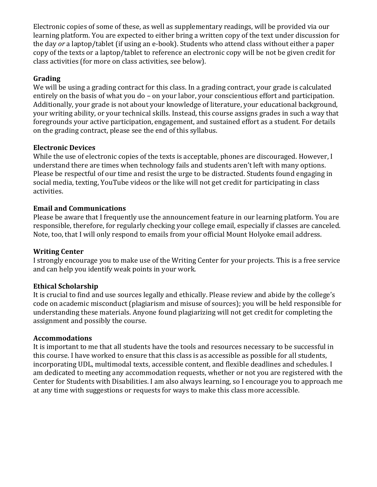Electronic copies of some of these, as well as supplementary readings, will be provided via our learning platform. You are expected to either bring a written copy of the text under discussion for the day *or* a laptop/tablet (if using an e-book). Students who attend class without either a paper copy of the texts or a laptop/tablet to reference an electronic copy will be not be given credit for class activities (for more on class activities, see below).

### **Grading**

We will be using a grading contract for this class. In a grading contract, your grade is calculated entirely on the basis of what you do – on your labor, your conscientious effort and participation. Additionally, your grade is not about your knowledge of literature, your educational background, your writing ability, or your technical skills. Instead, this course assigns grades in such a way that foregrounds your active participation, engagement, and sustained effort as a student. For details on the grading contract, please see the end of this syllabus.

### **Electronic Devices**

While the use of electronic copies of the texts is acceptable, phones are discouraged. However, I understand there are times when technology fails and students aren't left with many options. Please be respectful of our time and resist the urge to be distracted. Students found engaging in social media, texting, YouTube videos or the like will not get credit for participating in class activities.

### **Email and Communications**

Please be aware that I frequently use the announcement feature in our learning platform. You are responsible, therefore, for regularly checking your college email, especially if classes are canceled. Note, too, that I will only respond to emails from your official Mount Holyoke email address.

#### **Writing Center**

I strongly encourage you to make use of the Writing Center for your projects. This is a free service and can help you identify weak points in your work.

#### **Ethical Scholarship**

It is crucial to find and use sources legally and ethically. Please review and abide by the college's code on academic misconduct (plagiarism and misuse of sources); you will be held responsible for understanding these materials. Anyone found plagiarizing will not get credit for completing the assignment and possibly the course.

#### **Accommodations**

It is important to me that all students have the tools and resources necessary to be successful in this course. I have worked to ensure that this class is as accessible as possible for all students, incorporating UDL, multimodal texts, accessible content, and flexible deadlines and schedules. I am dedicated to meeting any accommodation requests, whether or not you are registered with the Center for Students with Disabilities. I am also always learning, so I encourage you to approach me at any time with suggestions or requests for ways to make this class more accessible.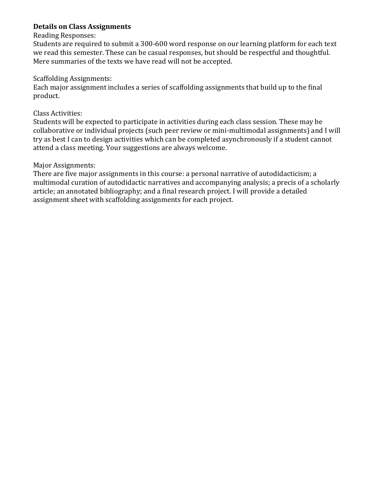### **Details on Class Assignments**

#### Reading Responses:

Students are required to submit a 300-600 word response on our learning platform for each text we read this semester. These can be casual responses, but should be respectful and thoughtful. Mere summaries of the texts we have read will not be accepted.

#### Scaffolding Assignments:

Each major assignment includes a series of scaffolding assignments that build up to the final product.

#### Class Activities:

Students will be expected to participate in activities during each class session. These may be collaborative or individual projects (such peer review or mini-multimodal assignments) and I will try as best I can to design activities which can be completed asynchronously if a student cannot attend a class meeting. Your suggestions are always welcome.

#### Major Assignments:

There are five major assignments in this course: a personal narrative of autodidacticism; a multimodal curation of autodidactic narratives and accompanying analysis; a precis of a scholarly article; an annotated bibliography; and a final research project. I will provide a detailed assignment sheet with scaffolding assignments for each project.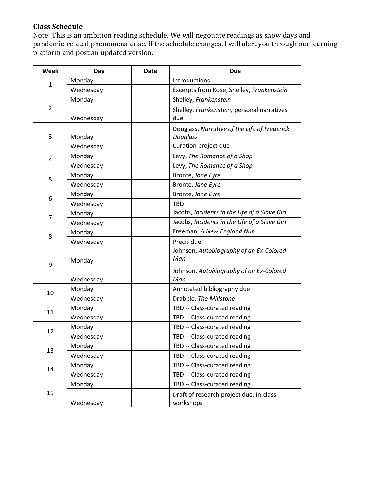## **Class Schedule**

Note: This is an ambition reading schedule. We will negotiate readings as snow days and pandemic-related phenomena arise. If the schedule changes, I will alert you through our learning platform and post an updated version.

| Week           | Day       | Date | <b>Due</b>                                               |  |
|----------------|-----------|------|----------------------------------------------------------|--|
| $\mathbf{1}$   | Monday    |      | Introductions                                            |  |
|                | Wednesday |      | Excerpts from Rose; Shelley, Frankenstein                |  |
| $\overline{2}$ | Monday    |      | Shelley, Frankenstein                                    |  |
|                | Wednesday |      | Shelley, Frankenstein; personal narratives<br>due        |  |
| 3              | Monday    |      | Douglass, Narrative of the Life of Frederick<br>Douglass |  |
|                | Wednesday |      | Curation project due                                     |  |
| 4              | Monday    |      | Levy, The Romance of a Shop                              |  |
|                | Wednesday |      | Levy, The Romance of a Shop                              |  |
| 5              | Monday    |      | Bronte, Jane Eyre                                        |  |
|                | Wednesday |      | Bronte, Jane Eyre                                        |  |
| 6              | Monday    |      | Bronte, Jane Eyre                                        |  |
|                | Wednesday |      | <b>TBD</b>                                               |  |
| $\overline{7}$ | Monday    |      | Jacobs, Incidents in the Life of a Slave Girl            |  |
|                | Wednesday |      | Jacobs, Incidents in the Life of a Slave Girl            |  |
| 8              | Monday    |      | Freeman, A New England Nun                               |  |
|                | Wednesday |      | Precis due                                               |  |
| 9              | Monday    |      | Johnson, Autobiography of an Ex-Colored<br>Man           |  |
|                | Wednesday |      | Johnson, Autobiography of an Ex-Colored<br>Man           |  |
| 10             | Monday    |      | Annotated bibliography due                               |  |
|                | Wednesday |      | Drabble, The Millstone                                   |  |
| 11             | Monday    |      | TBD -- Class-curated reading                             |  |
|                | Wednesday |      | TBD -- Class-curated reading                             |  |
| 12             | Monday    |      | TBD -- Class-curated reading                             |  |
|                | Wednesday |      | TBD -- Class-curated reading                             |  |
| 13             | Monday    |      | TBD -- Class-curated reading                             |  |
|                | Wednesday |      | TBD -- Class-curated reading                             |  |
| 14             | Monday    |      | TBD -- Class-curated reading                             |  |
|                | Wednesday |      | TBD -- Class-curated reading                             |  |
| 15             | Monday    |      | TBD -- Class-curated reading                             |  |
|                | Wednesday |      | Draft of research project due; in-class<br>workshops     |  |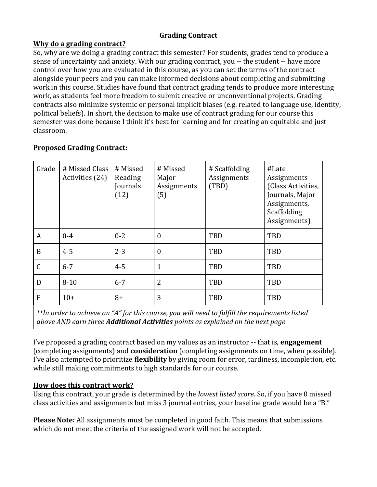## **Grading Contract**

## **Why do a grading contract?**

So, why are we doing a grading contract this semester? For students, grades tend to produce a sense of uncertainty and anxiety. With our grading contract, you -- the student -- have more control over how you are evaluated in this course, as you can set the terms of the contract alongside your peers and you can make informed decisions about completing and submitting work in this course. Studies have found that contract grading tends to produce more interesting work, as students feel more freedom to submit creative or unconventional projects. Grading contracts also minimize systemic or personal implicit biases (e.g. related to language use, identity, political beliefs). In short, the decision to make use of contract grading for our course this semester was done because I think it's best for learning and for creating an equitable and just classroom.

| Grade                                                                                          | # Missed Class<br>Activities (24) | # Missed<br>Reading<br>Journals<br>(12) | # Missed<br>Major<br>Assignments<br>(5) | # Scaffolding<br>Assignments<br>(TBD) | #Late<br>Assignments<br>(Class Activities,<br>Journals, Major<br>Assignments,<br>Scaffolding<br>Assignments) |  |  |  |
|------------------------------------------------------------------------------------------------|-----------------------------------|-----------------------------------------|-----------------------------------------|---------------------------------------|--------------------------------------------------------------------------------------------------------------|--|--|--|
| A                                                                                              | $0 - 4$                           | $0 - 2$                                 | $\boldsymbol{0}$                        | TBD                                   | TBD                                                                                                          |  |  |  |
| B                                                                                              | $4 - 5$                           | $2 - 3$                                 | $\mathbf{0}$                            | TBD                                   | TBD                                                                                                          |  |  |  |
| $\mathsf C$                                                                                    | $6 - 7$                           | $4 - 5$                                 | $\mathbf{1}$                            | TBD                                   | TBD                                                                                                          |  |  |  |
| D                                                                                              | $8 - 10$                          | $6 - 7$                                 | $\overline{2}$                          | TBD                                   | TBD                                                                                                          |  |  |  |
| F                                                                                              | $10+$                             | $8+$                                    | 3                                       | TBD                                   | TBD                                                                                                          |  |  |  |
| $**$ order to achieve an "A" for this course, you will need to fulfill the requirements listed |                                   |                                         |                                         |                                       |                                                                                                              |  |  |  |

## **Proposed Grading Contract:**

*\*\*In order to achieve an "A" for this course, you will need to fulfill the requirements listed above AND earn three Additional Activities points as explained on the next page*

I've proposed a grading contract based on my values as an instructor -- that is, **engagement**  (completing assignments) and **consideration** (completing assignments on time, when possible). I've also attempted to prioritize **flexibility** by giving room for error, tardiness, incompletion, etc. while still making commitments to high standards for our course.

## **How does this contract work?**

Using this contract, your grade is determined by the *lowest listed score*. So, if you have 0 missed class activities and assignments but miss 3 journal entries, your baseline grade would be a "B."

**Please Note:** All assignments must be completed in good faith. This means that submissions which do not meet the criteria of the assigned work will not be accepted.